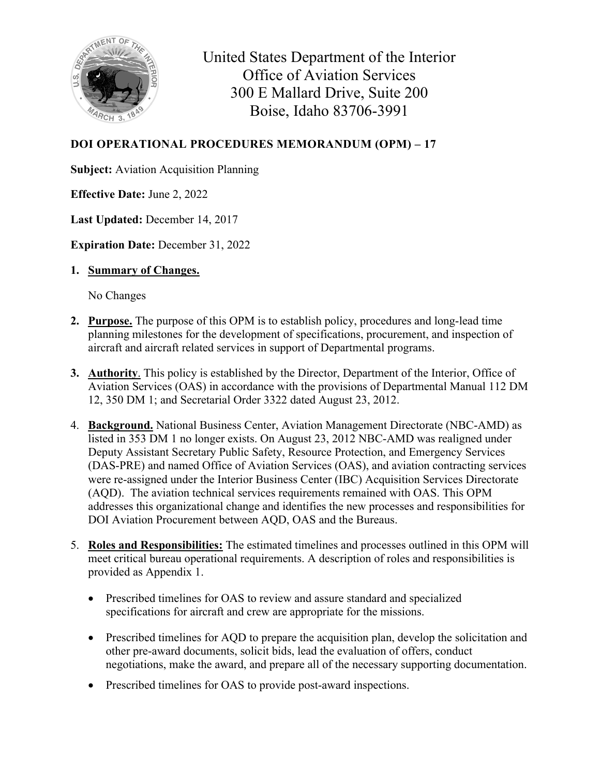

United States Department of the Interior Office of Aviation Services 300 E Mallard Drive, Suite 200 Boise, Idaho 83706-3991

## **DOI OPERATIONAL PROCEDURES MEMORANDUM (OPM) – 17**

**Subject:** Aviation Acquisition Planning

**Effective Date:** June 2, 2022

**Last Updated:** December 14, 2017

**Expiration Date: December 31, 2022** 

**1. Summary of Changes.** 

No Changes

- **2. Purpose.** The purpose of this OPM is to establish policy, procedures and long-lead time planning milestones for the development of specifications, procurement, and inspection of aircraft and aircraft related services in support of Departmental programs.
- **3. Authority**. This policy is established by the Director, Department of the Interior, Office of Aviation Services (OAS) in accordance with the provisions of Departmental Manual 112 DM 12, 350 DM 1; and Secretarial Order 3322 dated August 23, 2012.
- 4. **Background.** National Business Center, Aviation Management Directorate (NBC-AMD) as listed in 353 DM 1 no longer exists. On August 23, 2012 NBC-AMD was realigned under Deputy Assistant Secretary Public Safety, Resource Protection, and Emergency Services (DAS-PRE) and named Office of Aviation Services (OAS), and aviation contracting services were re-assigned under the Interior Business Center (IBC) Acquisition Services Directorate (AQD). The aviation technical services requirements remained with OAS. This OPM addresses this organizational change and identifies the new processes and responsibilities for DOI Aviation Procurement between AQD, OAS and the Bureaus.
- 5. **Roles and Responsibilities:** The estimated timelines and processes outlined in this OPM will meet critical bureau operational requirements. A description of roles and responsibilities is provided as Appendix 1.
	- Prescribed timelines for OAS to review and assure standard and specialized specifications for aircraft and crew are appropriate for the missions.
	- Prescribed timelines for AQD to prepare the acquisition plan, develop the solicitation and other pre-award documents, solicit bids, lead the evaluation of offers, conduct negotiations, make the award, and prepare all of the necessary supporting documentation.
	- Prescribed timelines for OAS to provide post-award inspections.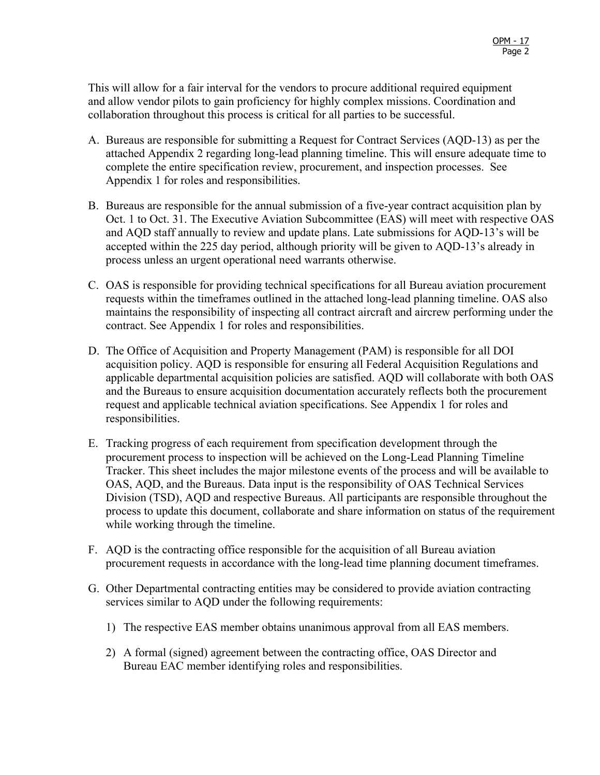This will allow for a fair interval for the vendors to procure additional required equipment and allow vendor pilots to gain proficiency for highly complex missions. Coordination and collaboration throughout this process is critical for all parties to be successful.

- A. Bureaus are responsible for submitting a Request for Contract Services (AQD-13) as per the attached Appendix 2 regarding long-lead planning timeline. This will ensure adequate time to complete the entire specification review, procurement, and inspection processes. See Appendix 1 for roles and responsibilities.
- B. Bureaus are responsible for the annual submission of a five-year contract acquisition plan by Oct. 1 to Oct. 31. The Executive Aviation Subcommittee (EAS) will meet with respective OAS and AQD staff annually to review and update plans. Late submissions for AQD-13's will be accepted within the 225 day period, although priority will be given to AQD-13's already in process unless an urgent operational need warrants otherwise.
- C. OAS is responsible for providing technical specifications for all Bureau aviation procurement requests within the timeframes outlined in the attached long-lead planning timeline. OAS also maintains the responsibility of inspecting all contract aircraft and aircrew performing under the contract. See Appendix 1 for roles and responsibilities.
- D. The Office of Acquisition and Property Management (PAM) is responsible for all DOI acquisition policy. AQD is responsible for ensuring all Federal Acquisition Regulations and applicable departmental acquisition policies are satisfied. AQD will collaborate with both OAS and the Bureaus to ensure acquisition documentation accurately reflects both the procurement request and applicable technical aviation specifications. See Appendix 1 for roles and responsibilities.
- E. Tracking progress of each requirement from specification development through the procurement process to inspection will be achieved on the Long-Lead Planning Timeline Tracker. This sheet includes the major milestone events of the process and will be available to OAS, AQD, and the Bureaus. Data input is the responsibility of OAS Technical Services Division (TSD), AQD and respective Bureaus. All participants are responsible throughout the process to update this document, collaborate and share information on status of the requirement while working through the timeline.
- F. AQD is the contracting office responsible for the acquisition of all Bureau aviation procurement requests in accordance with the long-lead time planning document timeframes.
- G. Other Departmental contracting entities may be considered to provide aviation contracting services similar to AQD under the following requirements:
	- 1) The respective EAS member obtains unanimous approval from all EAS members.
	- 2) A formal (signed) agreement between the contracting office, OAS Director and Bureau EAC member identifying roles and responsibilities.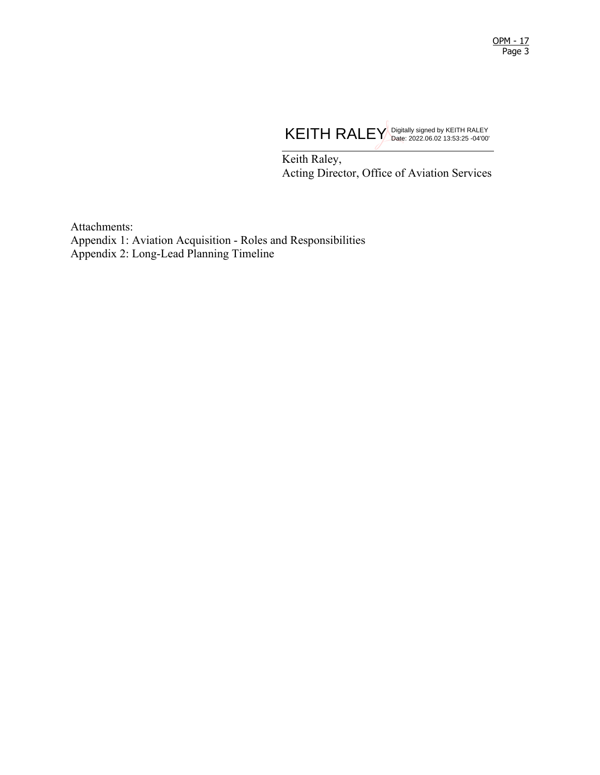

Keith Raley, Acting Director, Office of Aviation Services

Attachments: Appendix 1: Aviation Acquisition - Roles and Responsibilities Appendix 2: Long-Lead Planning Timeline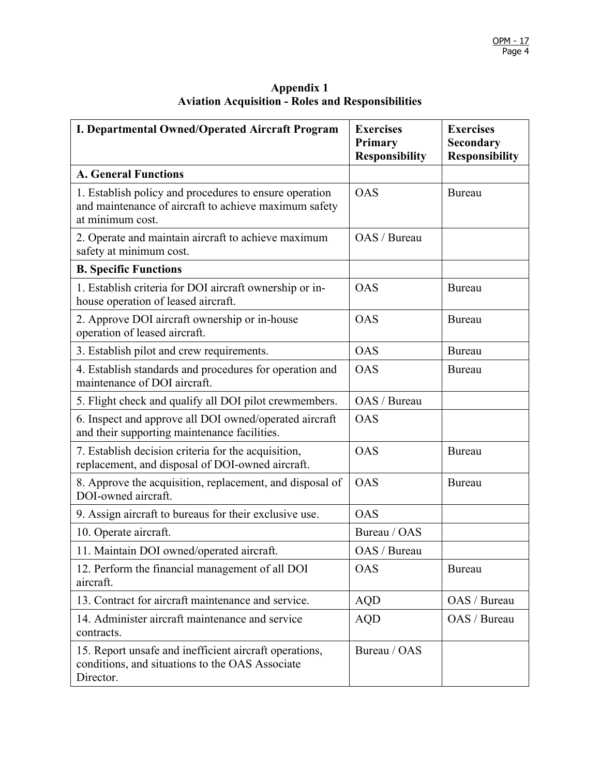| I. Departmental Owned/Operated Aircraft Program                                                                                     | <b>Exercises</b><br>Primary<br><b>Responsibility</b> | <b>Exercises</b><br>Secondary<br><b>Responsibility</b> |
|-------------------------------------------------------------------------------------------------------------------------------------|------------------------------------------------------|--------------------------------------------------------|
| <b>A. General Functions</b>                                                                                                         |                                                      |                                                        |
| 1. Establish policy and procedures to ensure operation<br>and maintenance of aircraft to achieve maximum safety<br>at minimum cost. | <b>OAS</b>                                           | <b>Bureau</b>                                          |
| 2. Operate and maintain aircraft to achieve maximum<br>safety at minimum cost.                                                      | OAS / Bureau                                         |                                                        |
| <b>B. Specific Functions</b>                                                                                                        |                                                      |                                                        |
| 1. Establish criteria for DOI aircraft ownership or in-<br>house operation of leased aircraft.                                      | <b>OAS</b>                                           | <b>Bureau</b>                                          |
| 2. Approve DOI aircraft ownership or in-house<br>operation of leased aircraft.                                                      | <b>OAS</b>                                           | Bureau                                                 |
| 3. Establish pilot and crew requirements.                                                                                           | <b>OAS</b>                                           | Bureau                                                 |
| 4. Establish standards and procedures for operation and<br>maintenance of DOI aircraft.                                             | <b>OAS</b>                                           | <b>Bureau</b>                                          |
| 5. Flight check and qualify all DOI pilot crewmembers.                                                                              | OAS / Bureau                                         |                                                        |
| 6. Inspect and approve all DOI owned/operated aircraft<br>and their supporting maintenance facilities.                              | <b>OAS</b>                                           |                                                        |
| 7. Establish decision criteria for the acquisition,<br>replacement, and disposal of DOI-owned aircraft.                             | <b>OAS</b>                                           | <b>Bureau</b>                                          |
| 8. Approve the acquisition, replacement, and disposal of<br>DOI-owned aircraft.                                                     | <b>OAS</b>                                           | Bureau                                                 |
| 9. Assign aircraft to bureaus for their exclusive use.                                                                              | <b>OAS</b>                                           |                                                        |
| 10. Operate aircraft.                                                                                                               | Bureau / OAS                                         |                                                        |
| 11. Maintain DOI owned/operated aircraft.                                                                                           | OAS / Bureau                                         |                                                        |
| 12. Perform the financial management of all DOI<br>aircraft.                                                                        | <b>OAS</b>                                           | <b>Bureau</b>                                          |
| 13. Contract for aircraft maintenance and service.                                                                                  | <b>AQD</b>                                           | OAS / Bureau                                           |
| 14. Administer aircraft maintenance and service<br>contracts.                                                                       | <b>AQD</b>                                           | OAS / Bureau                                           |
| 15. Report unsafe and inefficient aircraft operations,<br>conditions, and situations to the OAS Associate<br>Director.              | Bureau / OAS                                         |                                                        |

#### **Appendix 1 Aviation Acquisition - Roles and Responsibilities**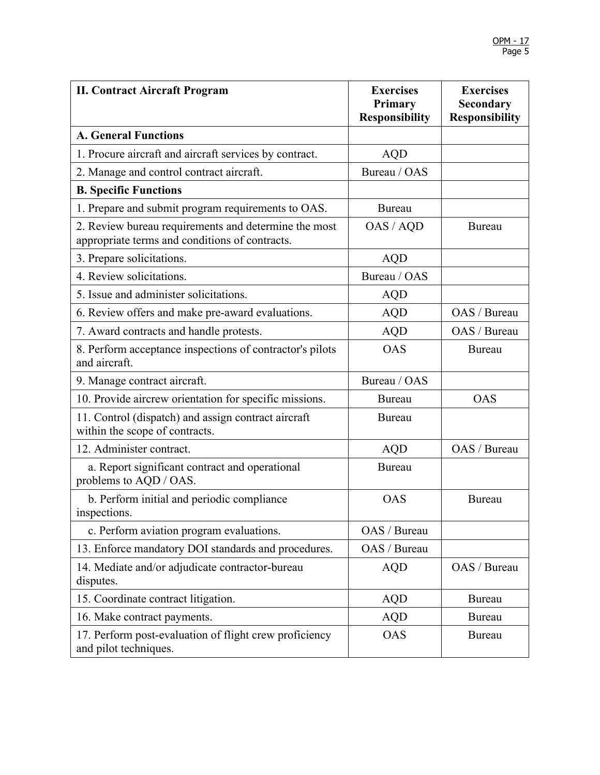| <b>II. Contract Aircraft Program</b>                                                                   | <b>Exercises</b><br>Primary<br><b>Responsibility</b> | <b>Exercises</b><br>Secondary<br><b>Responsibility</b> |
|--------------------------------------------------------------------------------------------------------|------------------------------------------------------|--------------------------------------------------------|
| <b>A. General Functions</b>                                                                            |                                                      |                                                        |
| 1. Procure aircraft and aircraft services by contract.                                                 | <b>AQD</b>                                           |                                                        |
| 2. Manage and control contract aircraft.                                                               | Bureau / OAS                                         |                                                        |
| <b>B. Specific Functions</b>                                                                           |                                                      |                                                        |
| 1. Prepare and submit program requirements to OAS.                                                     | <b>Bureau</b>                                        |                                                        |
| 2. Review bureau requirements and determine the most<br>appropriate terms and conditions of contracts. | OAS / AQD                                            | <b>Bureau</b>                                          |
| 3. Prepare solicitations.                                                                              | <b>AQD</b>                                           |                                                        |
| 4. Review solicitations.                                                                               | Bureau / OAS                                         |                                                        |
| 5. Issue and administer solicitations.                                                                 | <b>AQD</b>                                           |                                                        |
| 6. Review offers and make pre-award evaluations.                                                       | <b>AQD</b>                                           | OAS / Bureau                                           |
| 7. Award contracts and handle protests.                                                                | <b>AQD</b>                                           | OAS / Bureau                                           |
| 8. Perform acceptance inspections of contractor's pilots<br>and aircraft.                              | <b>OAS</b>                                           | <b>Bureau</b>                                          |
| 9. Manage contract aircraft.                                                                           | Bureau / OAS                                         |                                                        |
| 10. Provide aircrew orientation for specific missions.                                                 | Bureau                                               | <b>OAS</b>                                             |
| 11. Control (dispatch) and assign contract aircraft<br>within the scope of contracts.                  | <b>Bureau</b>                                        |                                                        |
| 12. Administer contract.                                                                               | <b>AQD</b>                                           | OAS / Bureau                                           |
| a. Report significant contract and operational<br>problems to AQD / OAS.                               | <b>Bureau</b>                                        |                                                        |
| b. Perform initial and periodic compliance<br>inspections.                                             | <b>OAS</b>                                           | <b>Bureau</b>                                          |
| c. Perform aviation program evaluations.                                                               | OAS / Bureau                                         |                                                        |
| 13. Enforce mandatory DOI standards and procedures.                                                    | OAS / Bureau                                         |                                                        |
| 14. Mediate and/or adjudicate contractor-bureau<br>disputes.                                           | <b>AQD</b>                                           | OAS / Bureau                                           |
| 15. Coordinate contract litigation.                                                                    | <b>AQD</b>                                           | <b>Bureau</b>                                          |
| 16. Make contract payments.                                                                            | <b>AQD</b>                                           | Bureau                                                 |
| 17. Perform post-evaluation of flight crew proficiency<br>and pilot techniques.                        | <b>OAS</b>                                           | Bureau                                                 |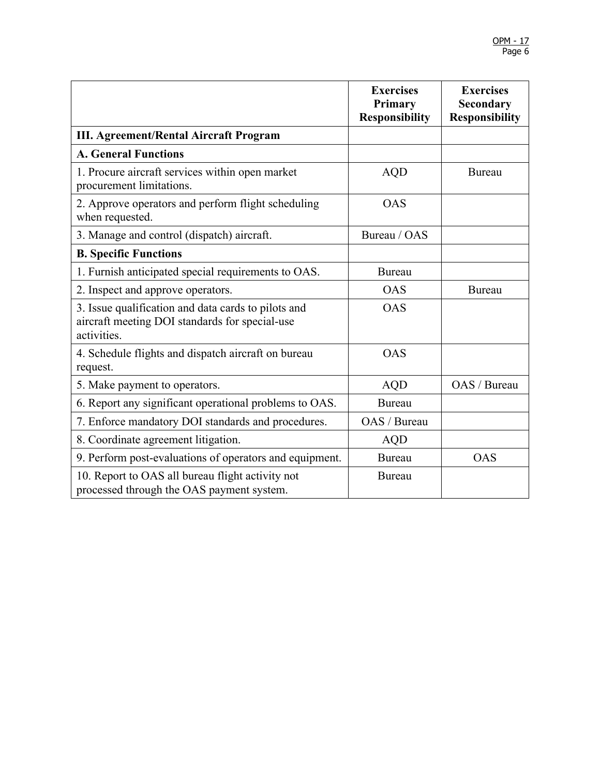|                                                                                                                      | <b>Exercises</b><br>Primary<br><b>Responsibility</b> | <b>Exercises</b><br><b>Secondary</b><br><b>Responsibility</b> |
|----------------------------------------------------------------------------------------------------------------------|------------------------------------------------------|---------------------------------------------------------------|
| <b>III. Agreement/Rental Aircraft Program</b>                                                                        |                                                      |                                                               |
| <b>A. General Functions</b>                                                                                          |                                                      |                                                               |
| 1. Procure aircraft services within open market<br>procurement limitations.                                          | <b>AQD</b>                                           | Bureau                                                        |
| 2. Approve operators and perform flight scheduling<br>when requested.                                                | <b>OAS</b>                                           |                                                               |
| 3. Manage and control (dispatch) aircraft.                                                                           | Bureau / OAS                                         |                                                               |
| <b>B. Specific Functions</b>                                                                                         |                                                      |                                                               |
| 1. Furnish anticipated special requirements to OAS.                                                                  | <b>Bureau</b>                                        |                                                               |
| 2. Inspect and approve operators.                                                                                    | <b>OAS</b>                                           | <b>Bureau</b>                                                 |
| 3. Issue qualification and data cards to pilots and<br>aircraft meeting DOI standards for special-use<br>activities. | <b>OAS</b>                                           |                                                               |
| 4. Schedule flights and dispatch aircraft on bureau<br>request.                                                      | <b>OAS</b>                                           |                                                               |
| 5. Make payment to operators.                                                                                        | <b>AQD</b>                                           | OAS / Bureau                                                  |
| 6. Report any significant operational problems to OAS.                                                               | <b>Bureau</b>                                        |                                                               |
| 7. Enforce mandatory DOI standards and procedures.                                                                   | OAS / Bureau                                         |                                                               |
| 8. Coordinate agreement litigation.                                                                                  | <b>AQD</b>                                           |                                                               |
| 9. Perform post-evaluations of operators and equipment.                                                              | <b>Bureau</b>                                        | <b>OAS</b>                                                    |
| 10. Report to OAS all bureau flight activity not<br>processed through the OAS payment system.                        | <b>Bureau</b>                                        |                                                               |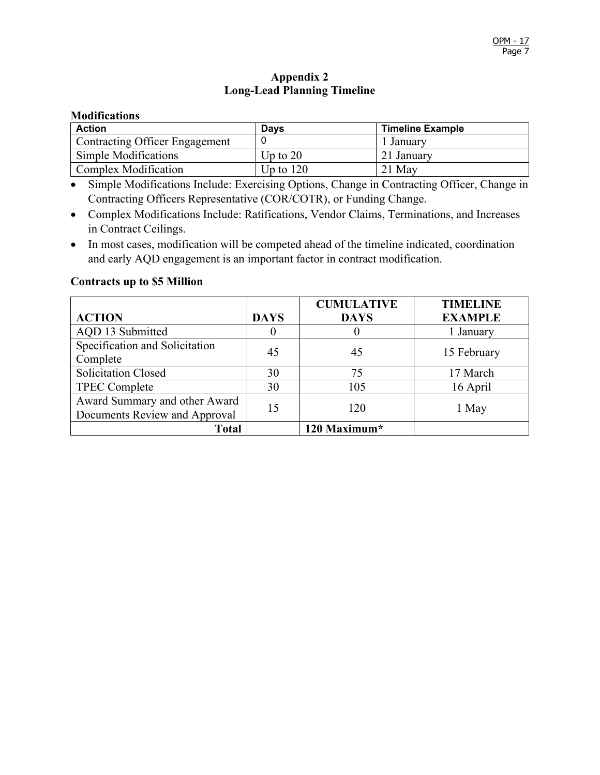## **Appendix 2 Long-Lead Planning Timeline**

#### **Modifications**

| <b>Action</b>                  | <b>Davs</b> | <b>Timeline Example</b> |
|--------------------------------|-------------|-------------------------|
| Contracting Officer Engagement |             | l Januarv               |
| Simple Modifications           | Up to $20$  | 21 January              |
| <b>Complex Modification</b>    | Up to $120$ | 21 May                  |

- Simple Modifications Include: Exercising Options, Change in Contracting Officer, Change in Contracting Officers Representative (COR/COTR), or Funding Change.
- Complex Modifications Include: Ratifications, Vendor Claims, Terminations, and Increases in Contract Ceilings.
- In most cases, modification will be competed ahead of the timeline indicated, coordination and early AQD engagement is an important factor in contract modification.

#### **Contracts up to \$5 Million**

|                                |             | <b>CUMULATIVE</b> | <b>TIMELINE</b> |
|--------------------------------|-------------|-------------------|-----------------|
| <b>ACTION</b>                  | <b>DAYS</b> | <b>DAYS</b>       | <b>EXAMPLE</b>  |
| AQD 13 Submitted               |             |                   | 1 January       |
| Specification and Solicitation | 45          | 45                | 15 February     |
| Complete                       |             |                   |                 |
| <b>Solicitation Closed</b>     | 30          | 75                | 17 March        |
| <b>TPEC Complete</b>           | 30          | 105               | 16 April        |
| Award Summary and other Award  | 15          | 120               |                 |
| Documents Review and Approval  |             |                   | 1 May           |
| <b>Total</b>                   |             | 120 Maximum*      |                 |